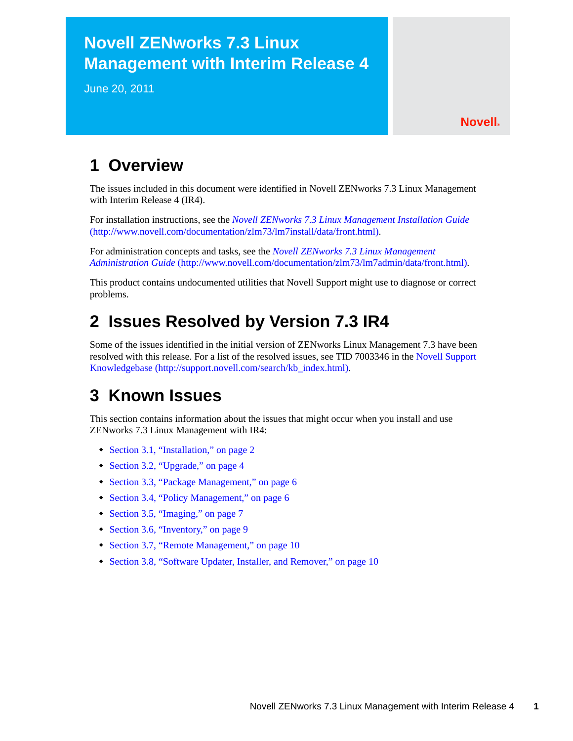# **Novell ZENworks 7.3 Linux Management with Interim Release 4**

June 20, 2011

## **Novell®**

# **1 Overview**

The issues included in this document were identified in Novell ZENworks 7.3 Linux Management with Interim Release 4 (IR4).

For installation instructions, see the *[Novell ZENworks 7.3 Linux Management Installation Guide](http://www.novell.com/documentation/zlm73/lm7install/data/front.html)* (http://www.novell.com/documentation/zlm73/lm7install/data/front.html).

For administration concepts and tasks, see the *[Novell ZENworks 7.3 Linux Management](http://www.novell.com/documentation/zlm73/lm7admin/data/front.html)  [Administration Guide](http://www.novell.com/documentation/zlm73/lm7admin/data/front.html)* (http://www.novell.com/documentation/zlm73/lm7admin/data/front.html).

This product contains undocumented utilities that Novell Support might use to diagnose or correct problems.

# **2 Issues Resolved by Version 7.3 IR4**

Some of the issues identified in the initial version of ZENworks Linux Management 7.3 have been resolved with this release. For a list of the resolved issues, see TID 7003346 in the [Novell Support](http://support.novell.com/search/kb_index.html)  [Knowledgebase](http://support.novell.com/search/kb_index.html) (http://support.novell.com/search/kb\_index.html).

# **3 Known Issues**

This section contains information about the issues that might occur when you install and use ZENworks 7.3 Linux Management with IR4:

- [Section 3.1, "Installation," on page 2](#page-1-0)
- [Section 3.2, "Upgrade," on page 4](#page-3-0)
- [Section 3.3, "Package Management," on page 6](#page-5-0)
- [Section 3.4, "Policy Management," on page 6](#page-5-1)
- [Section 3.5, "Imaging," on page 7](#page-6-0)
- [Section 3.6, "Inventory," on page 9](#page-8-0)
- [Section 3.7, "Remote Management," on page 10](#page-9-0)
- [Section 3.8, "Software Updater, Installer, and Remover," on page 10](#page-9-1)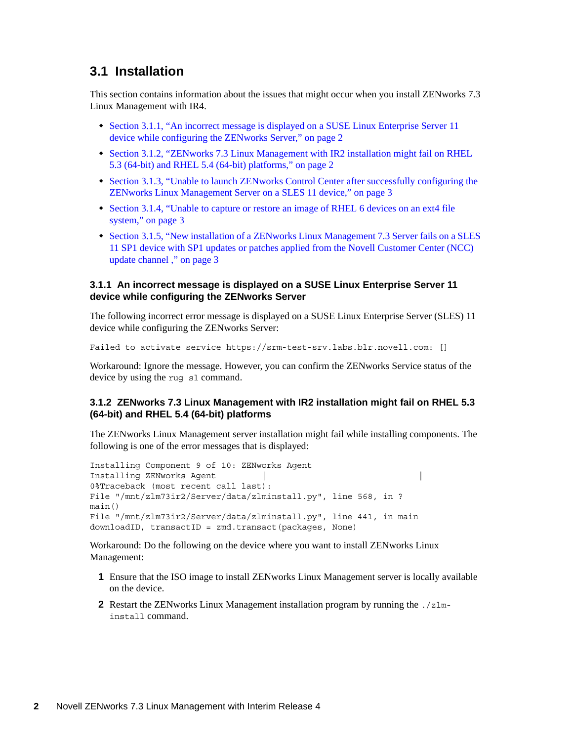## <span id="page-1-0"></span>**3.1 Installation**

This section contains information about the issues that might occur when you install ZENworks 7.3 Linux Management with IR4.

- Section 3.1.1, "An incorrect message is displayed on a SUSE Linux Enterprise Server 11 [device while configuring the ZENworks Server," on page 2](#page-1-1)
- [Section 3.1.2, "ZENworks 7.3 Linux Management with IR2 installation might fail on RHEL](#page-1-2)  [5.3 \(64-bit\) and RHEL 5.4 \(64-bit\) platforms," on page 2](#page-1-2)
- Section 3.1.3, "Unable to launch ZENworks Control Center after successfully configuring the [ZENworks Linux Management Server on a SLES 11 device," on page 3](#page-2-0)
- [Section 3.1.4, "Unable to capture or restore an image of RHEL 6 devices on an ext4 file](#page-2-1)  [system," on page 3](#page-2-1)
- [Section 3.1.5, "New installation of a ZENworks Linux Management 7.3 Server fails on a SLES](#page-2-2)  [11 SP1 device with SP1 updates or patches applied from the Novell Customer Center \(NCC\)](#page-2-2)  [update channel ," on page 3](#page-2-2)

#### <span id="page-1-1"></span>**3.1.1 An incorrect message is displayed on a SUSE Linux Enterprise Server 11 device while configuring the ZENworks Server**

The following incorrect error message is displayed on a SUSE Linux Enterprise Server (SLES) 11 device while configuring the ZENworks Server:

Failed to activate service https://srm-test-srv.labs.blr.novell.com: []

Workaround: Ignore the message. However, you can confirm the ZENworks Service status of the device by using the rug sl command.

#### <span id="page-1-2"></span>**3.1.2 ZENworks 7.3 Linux Management with IR2 installation might fail on RHEL 5.3 (64-bit) and RHEL 5.4 (64-bit) platforms**

The ZENworks Linux Management server installation might fail while installing components. The following is one of the error messages that is displayed:

```
Installing Component 9 of 10: ZENworks Agent
Installing ZENworks Agent
0%Traceback (most recent call last):
File "/mnt/zlm73ir2/Server/data/zlminstall.py", line 568, in ?
main()
File "/mnt/zlm73ir2/Server/data/zlminstall.py", line 441, in main
downloadID, transactID = zmd.transact(packages, None)
```
Workaround: Do the following on the device where you want to install ZENworks Linux Management:

- **1** Ensure that the ISO image to install ZENworks Linux Management server is locally available on the device.
- **2** Restart the ZENworks Linux Management installation program by running the ./zlminstall command.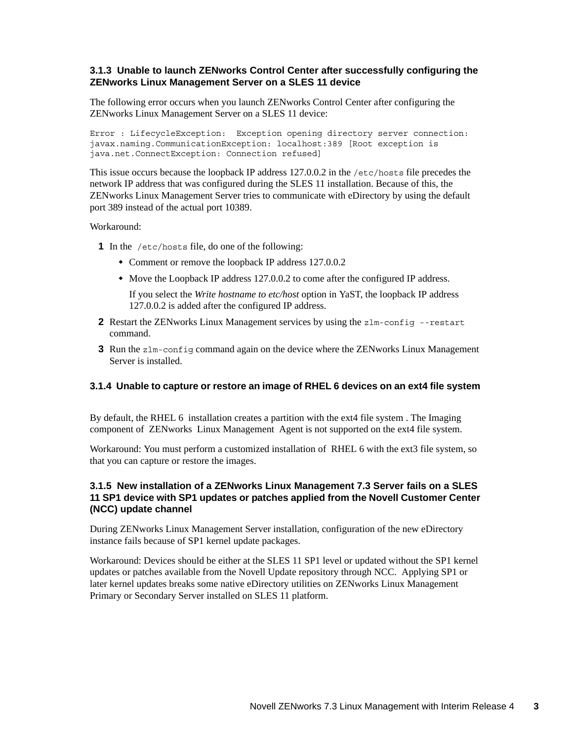### <span id="page-2-0"></span>**3.1.3 Unable to launch ZENworks Control Center after successfully configuring the ZENworks Linux Management Server on a SLES 11 device**

The following error occurs when you launch ZENworks Control Center after configuring the ZENworks Linux Management Server on a SLES 11 device:

Error : LifecycleException: Exception opening directory server connection: javax.naming.CommunicationException: localhost:389 [Root exception is java.net.ConnectException: Connection refused]

This issue occurs because the loopback IP address 127.0.0.2 in the /etc/hosts file precedes the network IP address that was configured during the SLES 11 installation. Because of this, the ZENworks Linux Management Server tries to communicate with eDirectory by using the default port 389 instead of the actual port 10389.

#### Workaround:

- **1** In the /etc/hosts file, do one of the following:
	- Comment or remove the loopback IP address 127.0.0.2
	- Move the Loopback IP address 127.0.0.2 to come after the configured IP address.

If you select the *Write hostname to etc/host* option in YaST, the loopback IP address 127.0.0.2 is added after the configured IP address.

- **2** Restart the ZENworks Linux Management services by using the zlm-config --restart command.
- **3** Run the zlm-config command again on the device where the ZENworks Linux Management Server is installed.

#### <span id="page-2-1"></span>**3.1.4 Unable to capture or restore an image of RHEL 6 devices on an ext4 file system**

By default, the RHEL 6 installation creates a partition with the ext4 file system . The Imaging component of ZENworks Linux Management Agent is not supported on the ext4 file system.

Workaround: You must perform a customized installation of RHEL 6 with the ext3 file system, so that you can capture or restore the images.

#### <span id="page-2-2"></span>**3.1.5 New installation of a ZENworks Linux Management 7.3 Server fails on a SLES 11 SP1 device with SP1 updates or patches applied from the Novell Customer Center (NCC) update channel**

During ZENworks Linux Management Server installation, configuration of the new eDirectory instance fails because of SP1 kernel update packages.

Workaround: Devices should be either at the SLES 11 SP1 level or updated without the SP1 kernel updates or patches available from the Novell Update repository through NCC. Applying SP1 or later kernel updates breaks some native eDirectory utilities on ZENworks Linux Management Primary or Secondary Server installed on SLES 11 platform.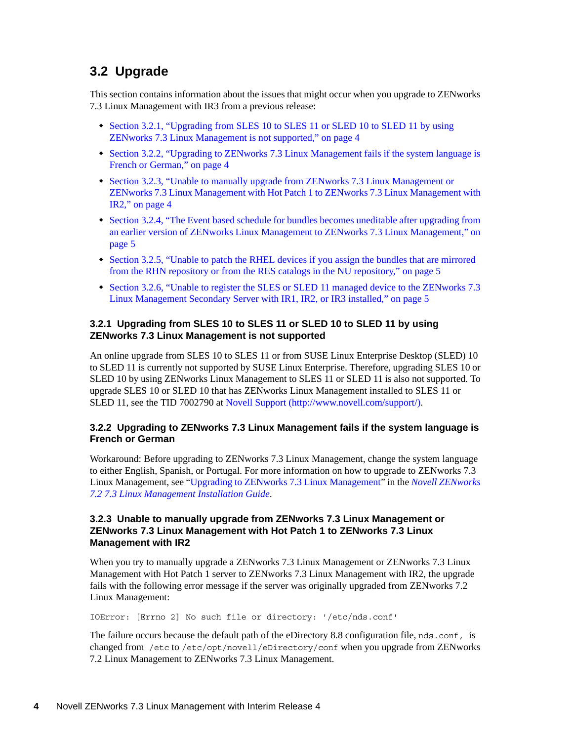# <span id="page-3-0"></span>**3.2 Upgrade**

This section contains information about the issues that might occur when you upgrade to ZENworks 7.3 Linux Management with IR3 from a previous release:

- Section 3.2.1, "Upgrading from SLES 10 to SLES 11 or SLED 10 to SLED 11 by using [ZENworks 7.3 Linux Management is not supported," on page 4](#page-3-1)
- [Section 3.2.2, "Upgrading to ZENworks 7.3 Linux Management fails if the system language is](#page-3-2)  [French or German," on page 4](#page-3-2)
- [Section 3.2.3, "Unable to manually upgrade from ZENworks 7.3 Linux Management or](#page-3-3)  [ZENworks 7.3 Linux Management with Hot Patch 1 to ZENworks 7.3 Linux Management with](#page-3-3)  [IR2," on page 4](#page-3-3)
- [Section 3.2.4, "The Event based schedule for bundles becomes uneditable after upgrading from](#page-4-0)  [an earlier version of ZENworks Linux Management to ZENworks 7.3 Linux Management," on](#page-4-0)  [page 5](#page-4-0)
- [Section 3.2.5, "Unable to patch the RHEL devices if you assign the bundles that are mirrored](#page-4-1)  [from the RHN repository or from the RES catalogs in the NU repository," on page 5](#page-4-1)
- [Section 3.2.6, "Unable to register the SLES or SLED 11 managed device to the ZENworks 7.3](#page-4-2)  [Linux Management Secondary Server with IR1, IR2, or IR3 installed," on page 5](#page-4-2)

#### <span id="page-3-1"></span>**3.2.1 Upgrading from SLES 10 to SLES 11 or SLED 10 to SLED 11 by using ZENworks 7.3 Linux Management is not supported**

An online upgrade from SLES 10 to SLES 11 or from SUSE Linux Enterprise Desktop (SLED) 10 to SLED 11 is currently not supported by SUSE Linux Enterprise. Therefore, upgrading SLES 10 or SLED 10 by using ZENworks Linux Management to SLES 11 or SLED 11 is also not supported. To upgrade SLES 10 or SLED 10 that has ZENworks Linux Management installed to SLES 11 or SLED 11, see the TID 7002790 at [Novell Support](http://www.novell.com/support/) (http://www.novell.com/support/).

## <span id="page-3-2"></span>**3.2.2 Upgrading to ZENworks 7.3 Linux Management fails if the system language is French or German**

Workaround: Before upgrading to ZENworks 7.3 Linux Management, change the system language to either English, Spanish, or Portugal. For more information on how to upgrade to ZENworks 7.3 Linux Management, see "Upgrading to ZENworks 7.3 Linux Management" in the *Novell ZENworks 7.2 7.3 Linux Management Installation Guide*.

#### <span id="page-3-3"></span>**3.2.3 Unable to manually upgrade from ZENworks 7.3 Linux Management or ZENworks 7.3 Linux Management with Hot Patch 1 to ZENworks 7.3 Linux Management with IR2**

When you try to manually upgrade a ZENworks 7.3 Linux Management or ZENworks 7.3 Linux Management with Hot Patch 1 server to ZENworks 7.3 Linux Management with IR2, the upgrade fails with the following error message if the server was originally upgraded from ZENworks 7.2 Linux Management:

IOError: [Errno 2] No such file or directory: '/etc/nds.conf'

The failure occurs because the default path of the eDirectory 8.8 configuration file, nds.conf, is changed from /etc to /etc/opt/novell/eDirectory/conf when you upgrade from ZENworks 7.2 Linux Management to ZENworks 7.3 Linux Management.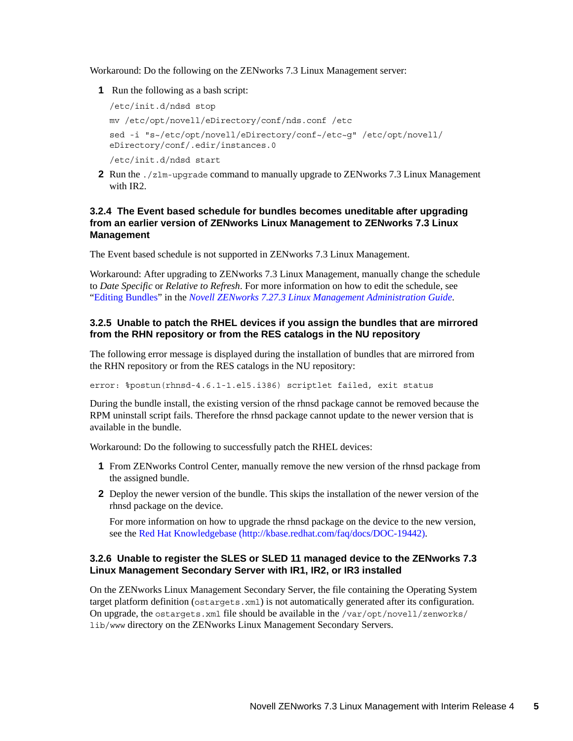Workaround: Do the following on the ZENworks 7.3 Linux Management server:

**1** Run the following as a bash script:

```
/etc/init.d/ndsd stop
mv /etc/opt/novell/eDirectory/conf/nds.conf /etc
sed -i "s~/etc/opt/novell/eDirectory/conf~/etc~g" /etc/opt/novell/
eDirectory/conf/.edir/instances.0 
/etc/init.d/ndsd start
```
**2** Run the ./zlm-upgrade command to manually upgrade to ZENworks 7.3 Linux Management with IR2.

### <span id="page-4-0"></span>**3.2.4 The Event based schedule for bundles becomes uneditable after upgrading from an earlier version of ZENworks Linux Management to ZENworks 7.3 Linux Management**

The Event based schedule is not supported in ZENworks 7.3 Linux Management.

Workaround: After upgrading to ZENworks 7.3 Linux Management, manually change the schedule to *Date Specific* or *Relative to Refresh*. For more information on how to edit the schedule, see "Editing Bundles" in the *Novell ZENworks 7.27.3 Linux Management Administration Guide*.

#### <span id="page-4-1"></span>**3.2.5 Unable to patch the RHEL devices if you assign the bundles that are mirrored from the RHN repository or from the RES catalogs in the NU repository**

The following error message is displayed during the installation of bundles that are mirrored from the RHN repository or from the RES catalogs in the NU repository:

error: %postun(rhnsd-4.6.1-1.el5.i386) scriptlet failed, exit status

During the bundle install, the existing version of the rhnsd package cannot be removed because the RPM uninstall script fails. Therefore the rhnsd package cannot update to the newer version that is available in the bundle.

Workaround: Do the following to successfully patch the RHEL devices:

- **1** From ZENworks Control Center, manually remove the new version of the rhnsd package from the assigned bundle.
- **2** Deploy the newer version of the bundle. This skips the installation of the newer version of the rhnsd package on the device.

For more information on how to upgrade the rhnsd package on the device to the new version, see the [Red Hat Knowledgebase](http://kbase.redhat.com/faq/docs/DOC-19442) (http://kbase.redhat.com/faq/docs/DOC-19442).

#### <span id="page-4-2"></span>**3.2.6 Unable to register the SLES or SLED 11 managed device to the ZENworks 7.3 Linux Management Secondary Server with IR1, IR2, or IR3 installed**

On the ZENworks Linux Management Secondary Server, the file containing the Operating System target platform definition (ostargets.xml) is not automatically generated after its configuration. On upgrade, the ostargets.xml file should be available in the  $/var/opt/novell/zenworks/$ lib/www directory on the ZENworks Linux Management Secondary Servers.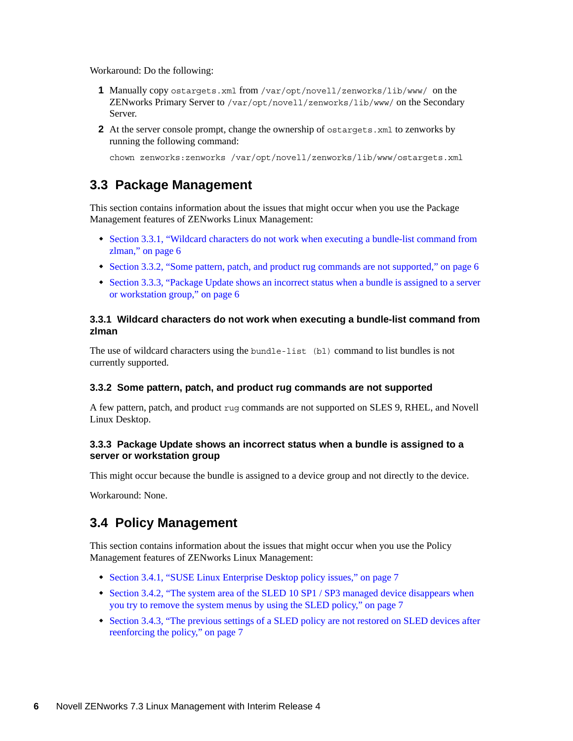Workaround: Do the following:

- **1** Manually copy ostargets.xml from /var/opt/novell/zenworks/lib/www/ on the ZENworks Primary Server to /var/opt/novell/zenworks/lib/www/ on the Secondary Server.
- **2** At the server console prompt, change the ownership of ostargets, xml to zenworks by running the following command:

chown zenworks:zenworks /var/opt/novell/zenworks/lib/www/ostargets.xml

# <span id="page-5-0"></span>**3.3 Package Management**

This section contains information about the issues that might occur when you use the Package Management features of ZENworks Linux Management:

- [Section 3.3.1, "Wildcard characters do not work when executing a bundle-list command from](#page-5-2)  [zlman," on page 6](#page-5-2)
- [Section 3.3.2, "Some pattern, patch, and product rug commands are not supported," on page 6](#page-5-3)
- [Section 3.3.3, "Package Update shows an incorrect status when a bundle is assigned to a server](#page-5-4)  [or workstation group," on page 6](#page-5-4)

## <span id="page-5-2"></span>**3.3.1 Wildcard characters do not work when executing a bundle-list command from zlman**

The use of wildcard characters using the bundle-list (bl) command to list bundles is not currently supported.

#### <span id="page-5-3"></span>**3.3.2 Some pattern, patch, and product rug commands are not supported**

A few pattern, patch, and product rug commands are not supported on SLES 9, RHEL, and Novell Linux Desktop.

#### <span id="page-5-4"></span>**3.3.3 Package Update shows an incorrect status when a bundle is assigned to a server or workstation group**

This might occur because the bundle is assigned to a device group and not directly to the device.

Workaround: None.

# <span id="page-5-1"></span>**3.4 Policy Management**

This section contains information about the issues that might occur when you use the Policy Management features of ZENworks Linux Management:

- [Section 3.4.1, "SUSE Linux Enterprise Desktop policy issues," on page 7](#page-6-1)
- [Section 3.4.2, "The system area of the SLED 10 SP1 / SP3 managed device disappears when](#page-6-2)  [you try to remove the system menus by using the SLED policy," on page 7](#page-6-2)
- [Section 3.4.3, "The previous settings of a SLED policy are not restored on SLED devices after](#page-6-3)  [reenforcing the policy," on page 7](#page-6-3)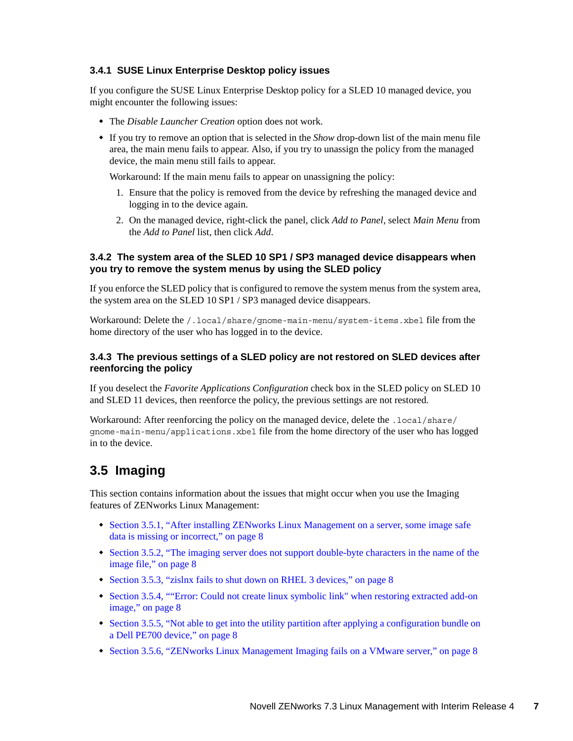## <span id="page-6-1"></span>**3.4.1 SUSE Linux Enterprise Desktop policy issues**

If you configure the SUSE Linux Enterprise Desktop policy for a SLED 10 managed device, you might encounter the following issues:

- The *Disable Launcher Creation* option does not work.
- If you try to remove an option that is selected in the *Show* drop-down list of the main menu file area, the main menu fails to appear. Also, if you try to unassign the policy from the managed device, the main menu still fails to appear.

Workaround: If the main menu fails to appear on unassigning the policy:

- 1. Ensure that the policy is removed from the device by refreshing the managed device and logging in to the device again.
- 2. On the managed device, right-click the panel, click *Add to Panel*, select *Main Menu* from the *Add to Panel* list, then click *Add*.

### <span id="page-6-2"></span>**3.4.2 The system area of the SLED 10 SP1 / SP3 managed device disappears when you try to remove the system menus by using the SLED policy**

If you enforce the SLED policy that is configured to remove the system menus from the system area, the system area on the SLED 10 SP1 / SP3 managed device disappears.

Workaround: Delete the /.local/share/gnome-main-menu/system-items.xbel file from the home directory of the user who has logged in to the device.

#### <span id="page-6-3"></span>**3.4.3 The previous settings of a SLED policy are not restored on SLED devices after reenforcing the policy**

If you deselect the *Favorite Applications Configuration* check box in the SLED policy on SLED 10 and SLED 11 devices, then reenforce the policy, the previous settings are not restored.

Workaround: After reenforcing the policy on the managed device, delete the .local/share/ gnome-main-menu/applications.xbel file from the home directory of the user who has logged in to the device.

# <span id="page-6-0"></span>**3.5 Imaging**

This section contains information about the issues that might occur when you use the Imaging features of ZENworks Linux Management:

- [Section 3.5.1, "After installing ZENworks Linux Management on a server, some image safe](#page-7-0)  [data is missing or incorrect," on page 8](#page-7-0)
- [Section 3.5.2, "The imaging server does not support double-byte characters in the name of the](#page-7-1)  [image file," on page 8](#page-7-1)
- [Section 3.5.3, "zislnx fails to shut down on RHEL 3 devices," on page 8](#page-7-2)
- [Section 3.5.4, ""Error: Could not create linux symbolic link" when restoring extracted add-on](#page-7-3)  [image," on page 8](#page-7-3)
- [Section 3.5.5, "Not able to get into the utility partition after applying a configuration bundle on](#page-7-4)  [a Dell PE700 device," on page 8](#page-7-4)
- [Section 3.5.6, "ZENworks Linux Management Imaging fails on a VMware server," on page 8](#page-7-5)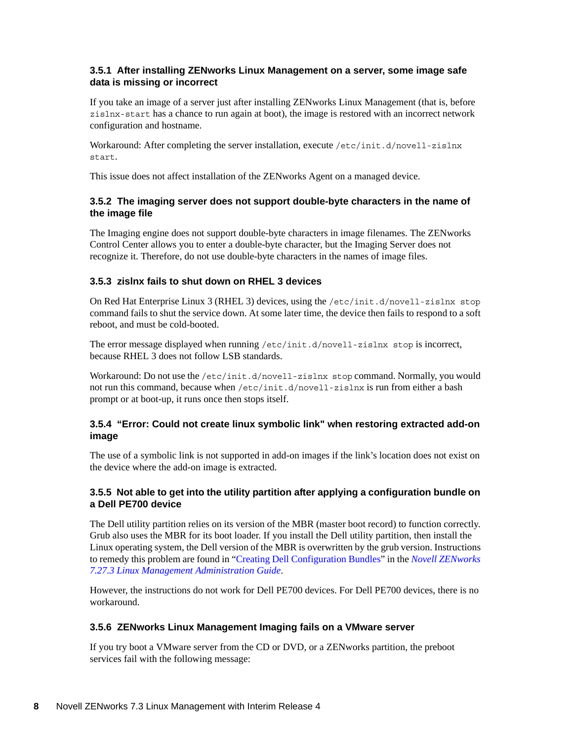## <span id="page-7-0"></span>**3.5.1 After installing ZENworks Linux Management on a server, some image safe data is missing or incorrect**

If you take an image of a server just after installing ZENworks Linux Management (that is, before zislnx-start has a chance to run again at boot), the image is restored with an incorrect network configuration and hostname.

Workaround: After completing the server installation, execute /etc/init.d/novell-zislnx start.

This issue does not affect installation of the ZENworks Agent on a managed device.

### <span id="page-7-1"></span>**3.5.2 The imaging server does not support double-byte characters in the name of the image file**

The Imaging engine does not support double-byte characters in image filenames. The ZENworks Control Center allows you to enter a double-byte character, but the Imaging Server does not recognize it. Therefore, do not use double-byte characters in the names of image files.

## <span id="page-7-2"></span>**3.5.3 zislnx fails to shut down on RHEL 3 devices**

On Red Hat Enterprise Linux 3 (RHEL 3) devices, using the /etc/init.d/novell-zislnx stop command fails to shut the service down. At some later time, the device then fails to respond to a soft reboot, and must be cold-booted.

The error message displayed when running /etc/init.d/novell-zislnx stop is incorrect, because RHEL 3 does not follow LSB standards.

Workaround: Do not use the /etc/init.d/novell-zislnx stop command. Normally, you would not run this command, because when /etc/init.d/novell-zislnx is run from either a bash prompt or at boot-up, it runs once then stops itself.

## <span id="page-7-3"></span>**3.5.4 "Error: Could not create linux symbolic link" when restoring extracted add-on image**

The use of a symbolic link is not supported in add-on images if the link's location does not exist on the device where the add-on image is extracted.

#### <span id="page-7-4"></span>**3.5.5 Not able to get into the utility partition after applying a configuration bundle on a Dell PE700 device**

The Dell utility partition relies on its version of the MBR (master boot record) to function correctly. Grub also uses the MBR for its boot loader. If you install the Dell utility partition, then install the Linux operating system, the Dell version of the MBR is overwritten by the grub version. Instructions to remedy this problem are found in "Creating Dell Configuration Bundles" in the *Novell ZENworks 7.27.3 Linux Management Administration Guide*.

However, the instructions do not work for Dell PE700 devices. For Dell PE700 devices, there is no workaround.

#### <span id="page-7-5"></span>**3.5.6 ZENworks Linux Management Imaging fails on a VMware server**

If you try boot a VMware server from the CD or DVD, or a ZENworks partition, the preboot services fail with the following message: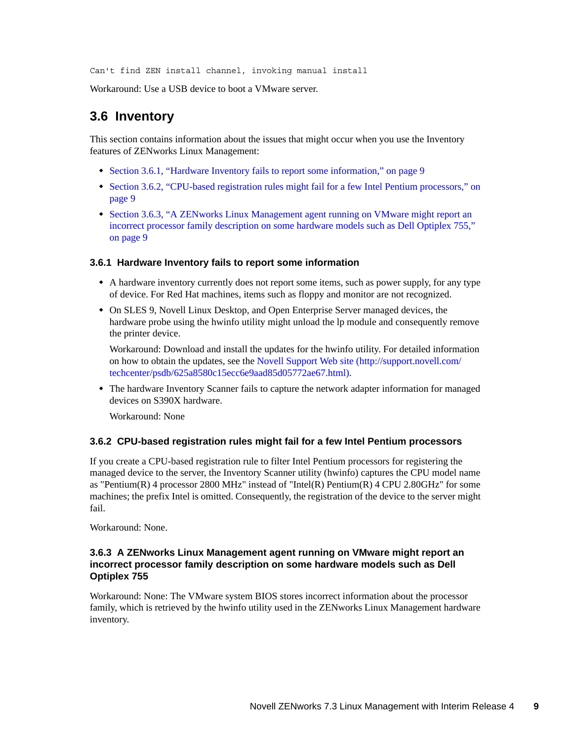Can't find ZEN install channel, invoking manual install

Workaround: Use a USB device to boot a VMware server.

## <span id="page-8-0"></span>**3.6 Inventory**

This section contains information about the issues that might occur when you use the Inventory features of ZENworks Linux Management:

- [Section 3.6.1, "Hardware Inventory fails to report some information," on page 9](#page-8-1)
- Section 3.6.2, "CPU-based registration rules might fail for a few Intel Pentium processors," on [page 9](#page-8-2)
- [Section 3.6.3, "A ZENworks Linux Management agent running on VMware might report an](#page-8-3)  [incorrect processor family description on some hardware models such as Dell Optiplex 755,"](#page-8-3)  [on page 9](#page-8-3)

#### <span id="page-8-1"></span>**3.6.1 Hardware Inventory fails to report some information**

- A hardware inventory currently does not report some items, such as power supply, for any type of device. For Red Hat machines, items such as floppy and monitor are not recognized.
- On SLES 9, Novell Linux Desktop, and Open Enterprise Server managed devices, the hardware probe using the hwinfo utility might unload the lp module and consequently remove the printer device.

Workaround: Download and install the updates for the hwinfo utility. For detailed information on how to obtain the updates, see the [Novell Support Web site](http://support.novell.com/techcenter/psdb/625a8580c15ecc6e9aad85d05772ae67.html) (http://support.novell.com/ techcenter/psdb/625a8580c15ecc6e9aad85d05772ae67.html).

 The hardware Inventory Scanner fails to capture the network adapter information for managed devices on S390X hardware.

Workaround: None

#### <span id="page-8-2"></span>**3.6.2 CPU-based registration rules might fail for a few Intel Pentium processors**

If you create a CPU-based registration rule to filter Intel Pentium processors for registering the managed device to the server, the Inventory Scanner utility (hwinfo) captures the CPU model name as "Pentium(R) 4 processor 2800 MHz" instead of "Intel(R) Pentium(R) 4 CPU 2.80GHz" for some machines; the prefix Intel is omitted. Consequently, the registration of the device to the server might fail.

Workaround: None.

#### <span id="page-8-3"></span>**3.6.3 A ZENworks Linux Management agent running on VMware might report an incorrect processor family description on some hardware models such as Dell Optiplex 755**

Workaround: None: The VMware system BIOS stores incorrect information about the processor family, which is retrieved by the hwinfo utility used in the ZENworks Linux Management hardware inventory.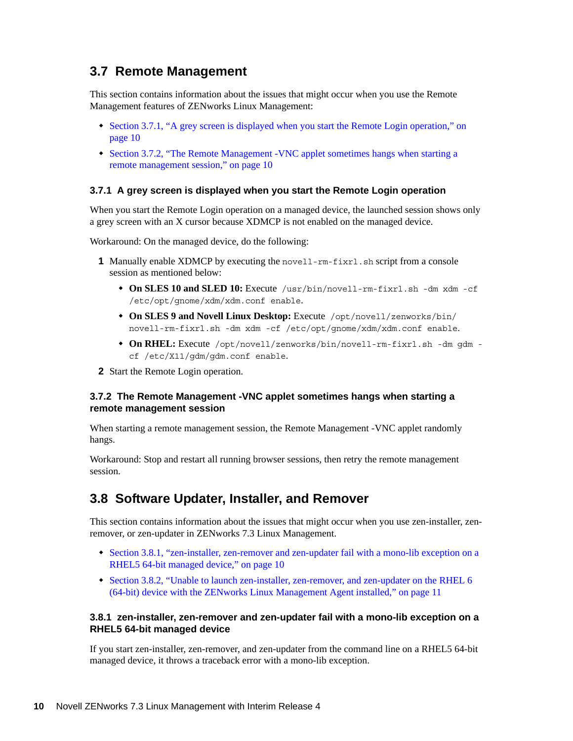# <span id="page-9-0"></span>**3.7 Remote Management**

This section contains information about the issues that might occur when you use the Remote Management features of ZENworks Linux Management:

- [Section 3.7.1, "A grey screen is displayed when you start the Remote Login operation," on](#page-9-2)  [page 10](#page-9-2)
- [Section 3.7.2, "The Remote Management -VNC applet sometimes hangs when starting a](#page-9-3)  [remote management session," on page 10](#page-9-3)

#### <span id="page-9-2"></span>**3.7.1 A grey screen is displayed when you start the Remote Login operation**

When you start the Remote Login operation on a managed device, the launched session shows only a grey screen with an X cursor because XDMCP is not enabled on the managed device.

Workaround: On the managed device, do the following:

- **1** Manually enable XDMCP by executing the novell-rm-fixrl.sh script from a console session as mentioned below:
	- **On SLES 10 and SLED 10:** Execute /usr/bin/novell-rm-fixrl.sh -dm xdm -cf /etc/opt/gnome/xdm/xdm.conf enable.
	- **On SLES 9 and Novell Linux Desktop:** Execute /opt/novell/zenworks/bin/ novell-rm-fixrl.sh -dm xdm -cf /etc/opt/gnome/xdm/xdm.conf enable.
	- **On RHEL:** Execute /opt/novell/zenworks/bin/novell-rm-fixrl.sh -dm gdm cf /etc/X11/gdm/gdm.conf enable.
- **2** Start the Remote Login operation.

#### <span id="page-9-3"></span>**3.7.2 The Remote Management -VNC applet sometimes hangs when starting a remote management session**

When starting a remote management session, the Remote Management -VNC applet randomly hangs.

Workaround: Stop and restart all running browser sessions, then retry the remote management session.

## <span id="page-9-1"></span>**3.8 Software Updater, Installer, and Remover**

This section contains information about the issues that might occur when you use zen-installer, zenremover, or zen-updater in ZENworks 7.3 Linux Management.

- [Section 3.8.1, "zen-installer, zen-remover and zen-updater fail with a mono-lib exception on a](#page-9-4)  [RHEL5 64-bit managed device," on page 10](#page-9-4)
- [Section 3.8.2, "Unable to launch zen-installer, zen-remover, and zen-updater on the RHEL 6](#page-10-0)  [\(64-bit\) device with the ZENworks Linux Management Agent installed," on page 11](#page-10-0)

#### <span id="page-9-4"></span>**3.8.1 zen-installer, zen-remover and zen-updater fail with a mono-lib exception on a RHEL5 64-bit managed device**

If you start zen-installer, zen-remover, and zen-updater from the command line on a RHEL5 64-bit managed device, it throws a traceback error with a mono-lib exception.